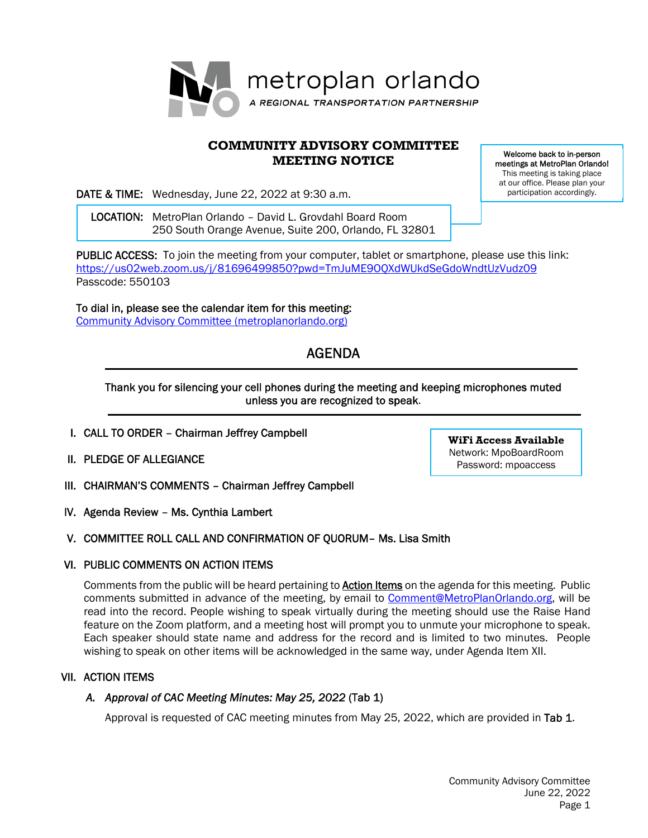

# **COMMUNITY ADVISORY COMMITTEE MEETING NOTICE**

DATE & TIME: Wednesday, June 22, 2022 at 9:30 a.m.

 LOCATION: MetroPlan Orlando – David L. Grovdahl Board Room 250 South Orange Avenue, Suite 200, Orlando, FL 32801

Welcome back to in-person meetings at MetroPlan Orlando! This meeting is taking place at our office. Please plan your participation accordingly.

PUBLIC ACCESS: To join the meeting from your computer, tablet or smartphone, please use this link: https://us02web.zoom.us/j/81696499850?pwd=TmJuME9OQXdWUkdSeGdoWndtUzVudz09 Passcode: 550103

To dial in, please see the calendar item for this meeting: Community Advisory Committee (metroplanorlando.org)

# AGENDA

# Thank you for silencing your cell phones during the meeting and keeping microphones muted unless you are recognized to speak.

- I. CALL TO ORDER Chairman Jeffrey Campbell
- II. PLEDGE OF ALLEGIANCE
- III. CHAIRMAN'S COMMENTS Chairman Jeffrey Campbell
- IV. Agenda Review Ms. Cynthia Lambert

# V. COMMITTEE ROLL CALL AND CONFIRMATION OF QUORUM– Ms. Lisa Smith

# VI. PUBLIC COMMENTS ON ACTION ITEMS

Comments from the public will be heard pertaining to **Action Items** on the agenda for this meeting. Public comments submitted in advance of the meeting, by email to Comment@MetroPlanOrlando.org, will be read into the record. People wishing to speak virtually during the meeting should use the Raise Hand feature on the Zoom platform, and a meeting host will prompt you to unmute your microphone to speak. Each speaker should state name and address for the record and is limited to two minutes. People wishing to speak on other items will be acknowledged in the same way, under Agenda Item XII.

# VII. ACTION ITEMS

# *A. Approval of CAC Meeting Minutes: May 25, 2022* (Tab 1)

Approval is requested of CAC meeting minutes from May 25, 2022, which are provided in Tab 1.

**WiFi Access Available**  Network: MpoBoardRoom Password: mpoaccess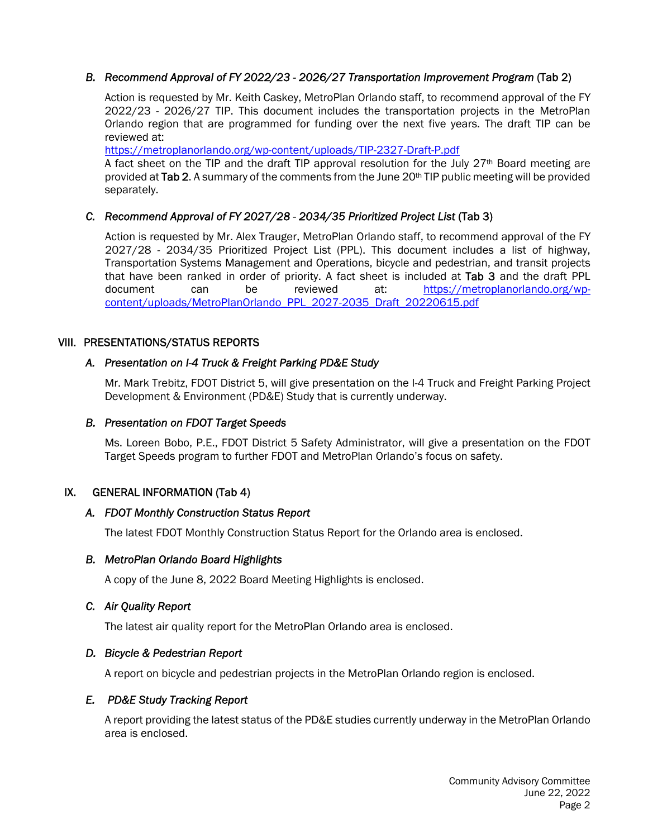## *B. Recommend Approval of FY 2022/23 - 2026/27 Transportation Improvement Program* (Tab 2)

Action is requested by Mr. Keith Caskey, MetroPlan Orlando staff, to recommend approval of the FY 2022/23 - 2026/27 TIP. This document includes the transportation projects in the MetroPlan Orlando region that are programmed for funding over the next five years. The draft TIP can be reviewed at:

https://metroplanorlando.org/wp-content/uploads/TIP-2327-Draft-P.pdf

A fact sheet on the TIP and the draft TIP approval resolution for the July  $27<sup>th</sup>$  Board meeting are provided at Tab 2. A summary of the comments from the June 20<sup>th</sup> TIP public meeting will be provided separately.

## *C. Recommend Approval of FY 2027/28 - 2034/35 Prioritized Project List* (Tab 3)

Action is requested by Mr. Alex Trauger, MetroPlan Orlando staff, to recommend approval of the FY 2027/28 - 2034/35 Prioritized Project List (PPL). This document includes a list of highway, Transportation Systems Management and Operations, bicycle and pedestrian, and transit projects that have been ranked in order of priority. A fact sheet is included at Tab 3 and the draft PPL document can be reviewed at: https://metroplanorlando.org/wpcontent/uploads/MetroPlanOrlando\_PPL\_2027-2035\_Draft\_20220615.pdf

#### VIII. PRESENTATIONS/STATUS REPORTS

#### *A. Presentation on I-4 Truck & Freight Parking PD&E Study*

Mr. Mark Trebitz, FDOT District 5, will give presentation on the I-4 Truck and Freight Parking Project Development & Environment (PD&E) Study that is currently underway.

#### *B. Presentation on FDOT Target Speeds*

Ms. Loreen Bobo, P.E., FDOT District 5 Safety Administrator, will give a presentation on the FDOT Target Speeds program to further FDOT and MetroPlan Orlando's focus on safety.

#### IX.GENERAL INFORMATION (Tab 4)

#### *A. FDOT Monthly Construction Status Report*

The latest FDOT Monthly Construction Status Report for the Orlando area is enclosed.

#### *B. MetroPlan Orlando Board Highlights*

A copy of the June 8, 2022 Board Meeting Highlights is enclosed.

#### *C. Air Quality Report*

The latest air quality report for the MetroPlan Orlando area is enclosed.

#### *D. Bicycle & Pedestrian Report*

A report on bicycle and pedestrian projects in the MetroPlan Orlando region is enclosed.

#### *E. PD&E Study Tracking Report*

A report providing the latest status of the PD&E studies currently underway in the MetroPlan Orlando area is enclosed.